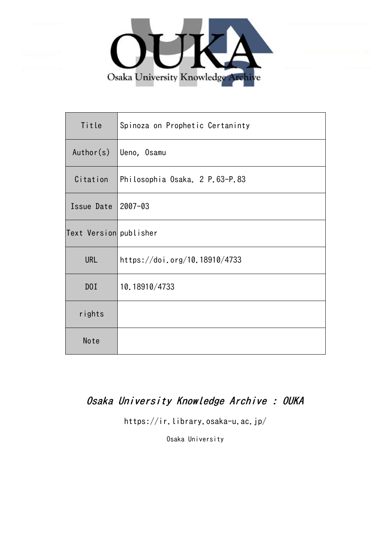

| Title                  | Spinoza on Prophetic Certaninty |
|------------------------|---------------------------------|
| Author(s)              | Ueno, Osamu                     |
| Citation               | Philosophia Osaka. 2 P.63-P.83  |
| Issue Date             | $2007 - 03$                     |
| Text Version publisher |                                 |
| <b>URL</b>             | https://doi.org/10.18910/4733   |
| D0I                    | 10.18910/4733                   |
| rights                 |                                 |
| Note                   |                                 |

# Osaka University Knowledge Archive : OUKA

https://ir.library.osaka-u.ac.jp/

Osaka University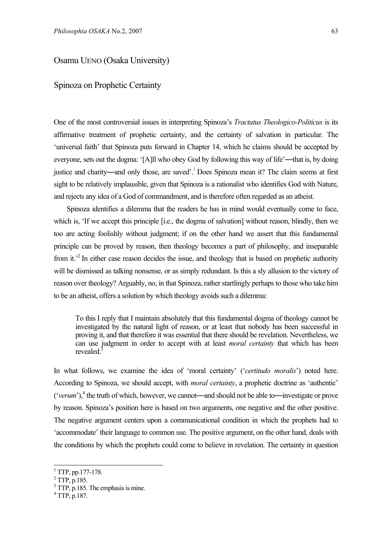# Osamu UENO (Osaka University)

# Spinoza on Prophetic Certainty

One of the most controversial issues in interpreting Spinoza's *Tractatus Theologico-Politicus* is its affirmative treatment of prophetic certainty, and the certainty of salvation in particular. The 'universal faith' that Spinoza puts forward in Chapter 14, which he claims should be accepted by everyone, sets out the dogma: '[A]ll who obey God by following this way of life'—that is, by doing justice and charity—and only those, are saved'.1 Does Spinoza mean it? The claim seems at first sight to be relatively implausible, given that Spinoza is a rationalist who identifies God with Nature, and rejects any idea of a God of commandment, and is therefore often regarded as an atheist.

Spinoza identifies a dilemma that the readers he has in mind would eventually come to face, which is, 'If we accept this principle [i.e., the dogma of salvation] without reason, blindly, then we too are acting foolishly without judgment; if on the other hand we assert that this fundamental principle can be proved by reason, then theology becomes a part of philosophy, and inseparable from it.<sup>22</sup> In either case reason decides the issue, and theology that is based on prophetic authority will be dismissed as talking nonsense, or as simply redundant. Is this a sly allusion to the victory of reason over theology? Arguably, no, in that Spinoza, rather startlingly perhaps to those who take him to be an atheist, offers a solution by which theology avoids such a dilemma:

To this I reply that I maintain absolutely that this fundamental dogma of theology cannot be investigated by the natural light of reason, or at least that nobody has been successful in proving it, and that therefore it was essential that there should be revelation. Nevertheless, we can use judgment in order to accept with at least *moral certainty* that which has been revealed<sup>3</sup>

In what follows, we examine the idea of 'moral certainty' ('*certitudo moralis*') noted here. According to Spinoza, we should accept, with *moral certainty*, a prophetic doctrine as 'authentic' ('*verum*'),<sup>4</sup> the truth of which, however, we cannot—and should not be able to—investigate or prove by reason. Spinoza's position here is based on two arguments, one negative and the other positive. The negative argument centers upon a communicational condition in which the prophets had to 'accommodate' their language to common use. The positive argument, on the other hand, deals with the conditions by which the prophets could come to believe in revelation. The certainty in question

<sup>1</sup> TTP, pp.177-178.

 $2$  TTP, p.185.

<sup>&</sup>lt;sup>3</sup> TTP, p.185. The emphasis is mine.

<sup>4</sup> TTP, p.187.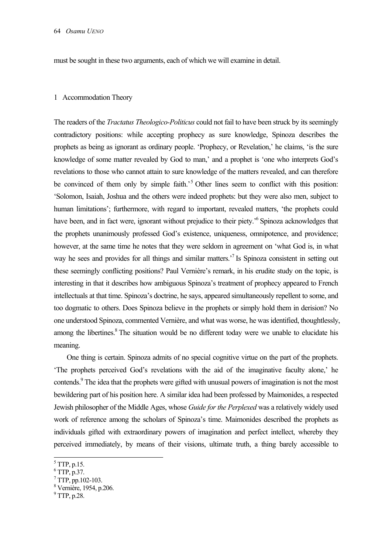must be sought in these two arguments, each of which we will examine in detail.

#### 1 Accommodation Theory

The readers of the *Tractatus Theologico-Politicus* could not fail to have been struck by its seemingly contradictory positions: while accepting prophecy as sure knowledge, Spinoza describes the prophets as being as ignorant as ordinary people. 'Prophecy, or Revelation,' he claims, 'is the sure knowledge of some matter revealed by God to man,' and a prophet is 'one who interprets God's revelations to those who cannot attain to sure knowledge of the matters revealed, and can therefore be convinced of them only by simple faith.<sup>5</sup> Other lines seem to conflict with this position: 'Solomon, Isaiah, Joshua and the others were indeed prophets: but they were also men, subject to human limitations'; furthermore, with regard to important, revealed matters, 'the prophets could have been, and in fact were, ignorant without prejudice to their piety.<sup>56</sup> Spinoza acknowledges that the prophets unanimously professed God's existence, uniqueness, omnipotence, and providence; however, at the same time he notes that they were seldom in agreement on 'what God is, in what way he sees and provides for all things and similar matters.<sup>7</sup> Is Spinoza consistent in setting out these seemingly conflicting positions? Paul Vernière's remark, in his erudite study on the topic, is interesting in that it describes how ambiguous Spinoza's treatment of prophecy appeared to French intellectuals at that time. Spinoza's doctrine, he says, appeared simultaneously repellent to some, and too dogmatic to others. Does Spinoza believe in the prophets or simply hold them in derision? No one understood Spinoza, commented Vernière, and what was worse, he was identified, thoughtlessly, among the libertines.<sup>8</sup> The situation would be no different today were we unable to elucidate his meaning.

One thing is certain. Spinoza admits of no special cognitive virtue on the part of the prophets. 'The prophets perceived God's revelations with the aid of the imaginative faculty alone,' he contends.<sup>9</sup> The idea that the prophets were gifted with unusual powers of imagination is not the most bewildering part of his position here. A similar idea had been professed by Maimonides, a respected Jewish philosopher of the Middle Ages, whose *Guide for the Perplexed* was a relatively widely used work of reference among the scholars of Spinoza's time. Maimonides described the prophets as individuals gifted with extraordinary powers of imagination and perfect intellect, whereby they perceived immediately, by means of their visions, ultimate truth, a thing barely accessible to

l

 $<sup>5</sup> TTP, p.15.$ </sup>

 $6$  TTP, p.37.

 $7$  TTP, pp.102-103.

<sup>8</sup> Vernière, 1954, p.206.

<sup>&</sup>lt;sup>9</sup> TTP, p.28.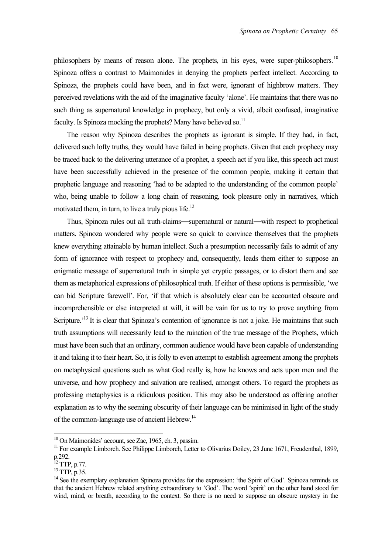philosophers by means of reason alone. The prophets, in his eyes, were super-philosophers.<sup>10</sup> Spinoza offers a contrast to Maimonides in denying the prophets perfect intellect. According to Spinoza, the prophets could have been, and in fact were, ignorant of highbrow matters. They perceived revelations with the aid of the imaginative faculty 'alone'. He maintains that there was no such thing as supernatural knowledge in prophecy, but only a vivid, albeit confused, imaginative faculty. Is Spinoza mocking the prophets? Many have believed so.<sup>11</sup>

The reason why Spinoza describes the prophets as ignorant is simple. If they had, in fact, delivered such lofty truths, they would have failed in being prophets. Given that each prophecy may be traced back to the delivering utterance of a prophet, a speech act if you like, this speech act must have been successfully achieved in the presence of the common people, making it certain that prophetic language and reasoning 'had to be adapted to the understanding of the common people' who, being unable to follow a long chain of reasoning, took pleasure only in narratives, which motivated them, in turn, to live a truly pious life.<sup>12</sup>

Thus, Spinoza rules out all truth-claims—supernatural or natural—with respect to prophetical matters. Spinoza wondered why people were so quick to convince themselves that the prophets knew everything attainable by human intellect. Such a presumption necessarily fails to admit of any form of ignorance with respect to prophecy and, consequently, leads them either to suppose an enigmatic message of supernatural truth in simple yet cryptic passages, or to distort them and see them as metaphorical expressions of philosophical truth. If either of these options is permissible, 'we can bid Scripture farewell'. For, 'if that which is absolutely clear can be accounted obscure and incomprehensible or else interpreted at will, it will be vain for us to try to prove anything from Scripture.<sup>13</sup> It is clear that Spinoza's contention of ignorance is not a joke. He maintains that such truth assumptions will necessarily lead to the ruination of the true message of the Prophets, which must have been such that an ordinary, common audience would have been capable of understanding it and taking it to their heart. So, it is folly to even attempt to establish agreement among the prophets on metaphysical questions such as what God really is, how he knows and acts upon men and the universe, and how prophecy and salvation are realised, amongst others. To regard the prophets as professing metaphysics is a ridiculous position. This may also be understood as offering another explanation as to why the seeming obscurity of their language can be minimised in light of the study of the common-language use of ancient Hebrew.<sup>14</sup>

<sup>&</sup>lt;sup>10</sup> On Maimonides' account, see Zac, 1965, ch. 3, passim.

 $11$  For example Limborch. See Philippe Limborch, Letter to Olivarius Doiley, 23 June 1671, Freudenthal, 1899, p.292.

 $^{12}$  TTP, p.77.

<sup>13</sup> TTP, p.35.

<sup>&</sup>lt;sup>14</sup> See the exemplary explanation Spinoza provides for the expression: 'the Spirit of God'. Spinoza reminds us that the ancient Hebrew related anything extraordinary to 'God'. The word 'spirit' on the other hand stood for wind, mind, or breath, according to the context. So there is no need to suppose an obscure mystery in the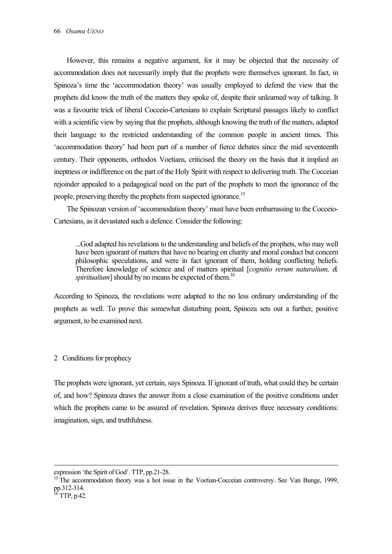However, this remains a negative argument, for it may be objected that the necessity of accommodation does not necessarily imply that the prophets were themselves ignorant. In fact, in Spinoza's time the 'accommodation theory' was usually employed to defend the view that the prophets did know the truth of the matters they spoke of, despite their unlearned way of talking. It was a favourite trick of liberal Cocceio-Cartesians to explain Scriptural passages likely to conflict with a scientific view by saying that the prophets, although knowing the truth of the matters, adapted their language to the restricted understanding of the common people in ancient times. This 'accommodation theory' had been part of a number of fierce debates since the mid seventeenth century. Their opponents, orthodox Voetians, criticised the theory on the basis that it implied an ineptness or indifference on the part of the Holy Spirit with respect to delivering truth. The Cocceian rejoinder appealed to a pedagogical need on the part of the prophets to meet the ignorance of the people, preserving thereby the prophets from suspected ignorance.<sup>15</sup>

The Spinozan version of 'accommodation theory' must have been embarrassing to the Cocceio-Cartesians, as it devastated such a defence. Consider the following:

...God adapted his revelations to the understanding and beliefs of the prophets, who may well have been ignorant of matters that have no bearing on charity and moral conduct but concern philosophic speculations, and were in fact ignorant of them, holding conflicting beliefs. Therefore knowledge of science and of matters spiritual [*cognitio rerum naturalium, & spiritualium*] should by no means be expected of them.<sup>16</sup>

According to Spinoza, the revelations were adapted to the no less ordinary understanding of the prophets as well. To prove this somewhat disturbing point, Spinoza sets out a further, positive argument, to be examined next.

2 Conditions for prophecy

The prophets were ignorant, yet certain, says Spinoza. If ignorant of truth, what could they be certain of, and how? Spinoza draws the answer from a close examination of the positive conditions under which the prophets came to be assured of revelation. Spinoza derives three necessary conditions: imagination, sign, and truthfulness.

expression 'the Spirit of God'. TTP, pp.21-28.

<sup>&</sup>lt;sup>15</sup> The accommodation theory was a hot issue in the Voetian-Cocceian controversy. See Van Bunge, 1999, pp.312-314.

 $^{16}$  TTP, p.42.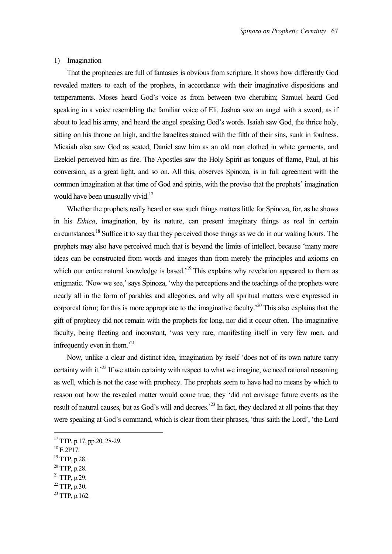## 1) Imagination

That the prophecies are full of fantasies is obvious from scripture. It shows how differently God revealed matters to each of the prophets, in accordance with their imaginative dispositions and temperaments. Moses heard God's voice as from between two cherubim; Samuel heard God speaking in a voice resembling the familiar voice of Eli. Joshua saw an angel with a sword, as if about to lead his army, and heard the angel speaking God's words. Isaiah saw God, the thrice holy, sitting on his throne on high, and the Israelites stained with the filth of their sins, sunk in foulness. Micaiah also saw God as seated, Daniel saw him as an old man clothed in white garments, and Ezekiel perceived him as fire. The Apostles saw the Holy Spirit as tongues of flame, Paul, at his conversion, as a great light, and so on. All this, observes Spinoza, is in full agreement with the common imagination at that time of God and spirits, with the proviso that the prophets' imagination would have been unusually vivid.<sup>17</sup>

Whether the prophets really heard or saw such things matters little for Spinoza, for, as he shows in his *Ethica*, imagination, by its nature, can present imaginary things as real in certain circumstances.18 Suffice it to say that they perceived those things as we do in our waking hours. The prophets may also have perceived much that is beyond the limits of intellect, because 'many more ideas can be constructed from words and images than from merely the principles and axioms on which our entire natural knowledge is based.<sup>19</sup> This explains why revelation appeared to them as enigmatic. 'Now we see,' says Spinoza, 'why the perceptions and the teachings of the prophets were nearly all in the form of parables and allegories, and why all spiritual matters were expressed in corporeal form; for this is more appropriate to the imaginative faculty.<sup>20</sup> This also explains that the gift of prophecy did not remain with the prophets for long, nor did it occur often. The imaginative faculty, being fleeting and inconstant, 'was very rare, manifesting itself in very few men, and infrequently even in them.<sup>21</sup>

Now, unlike a clear and distinct idea, imagination by itself 'does not of its own nature carry certainty with it.<sup>22</sup> If we attain certainty with respect to what we imagine, we need rational reasoning as well, which is not the case with prophecy. The prophets seem to have had no means by which to reason out how the revealed matter would come true; they 'did not envisage future events as the result of natural causes, but as God's will and decrees.<sup>23</sup> In fact, they declared at all points that they were speaking at God's command, which is clear from their phrases, 'thus saith the Lord', 'the Lord

- 19 TTP, p.28.
- 20 TTP, p.28.
- 21 TTP, p.29.
- 22 TTP, p.30.
- $^{23}$  TTP, p.162.

<sup>&</sup>lt;sup>17</sup> TTP, p.17, pp.20, 28-29.

 $18$  E 2P17.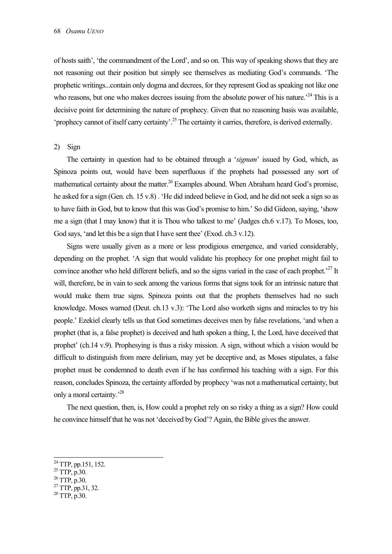of hosts saith', 'the commandment of the Lord', and so on. This way of speaking shows that they are not reasoning out their position but simply see themselves as mediating God's commands. 'The prophetic writings...contain only dogma and decrees, for they represent God as speaking not like one who reasons, but one who makes decrees issuing from the absolute power of his nature.<sup>24</sup> This is a decisive point for determining the nature of prophecy. Given that no reasoning basis was available, 'prophecy cannot of itself carry certainty'.25 The certainty it carries, therefore, is derived externally.

2) Sign

The certainty in question had to be obtained through a '*signum*' issued by God, which, as Spinoza points out, would have been superfluous if the prophets had possessed any sort of mathematical certainty about the matter.<sup>26</sup> Examples abound. When Abraham heard God's promise, he asked for a sign (Gen. ch. 15 v.8) . 'He did indeed believe in God, and he did not seek a sign so as to have faith in God, but to know that this was God's promise to him.' So did Gideon, saying, 'show me a sign (that I may know) that it is Thou who talkest to me' (Judges ch.6 v.17). To Moses, too, God says, 'and let this be a sign that I have sent thee' (Exod. ch.3 v.12).

Signs were usually given as a more or less prodigious emergence, and varied considerably, depending on the prophet. 'A sign that would validate his prophecy for one prophet might fail to convince another who held different beliefs, and so the signs varied in the case of each prophet.<sup>27</sup> It will, therefore, be in vain to seek among the various forms that signs took for an intrinsic nature that would make them true signs. Spinoza points out that the prophets themselves had no such knowledge. Moses warned (Deut. ch.13 v.3): 'The Lord also worketh signs and miracles to try his people.' Ezekiel clearly tells us that God sometimes deceives men by false revelations, 'and when a prophet (that is, a false prophet) is deceived and hath spoken a thing, I, the Lord, have deceived that prophet' (ch.14 v.9). Prophesying is thus a risky mission. A sign, without which a vision would be difficult to distinguish from mere delirium, may yet be deceptive and, as Moses stipulates, a false prophet must be condemned to death even if he has confirmed his teaching with a sign. For this reason, concludes Spinoza, the certainty afforded by prophecy 'was not a mathematical certainty, but only a moral certainty.<sup>28</sup>

The next question, then, is, How could a prophet rely on so risky a thing as a sign? How could he convince himself that he was not 'deceived by God'? Again, the Bible gives the answer.

l

 $^{24}$  TTP, pp.151, 152.

 $^{25}$  TTP, p.30.

<sup>26</sup> TTP, p.30.

<sup>27</sup> TTP, pp.31, 32.

<sup>28</sup> TTP, p.30.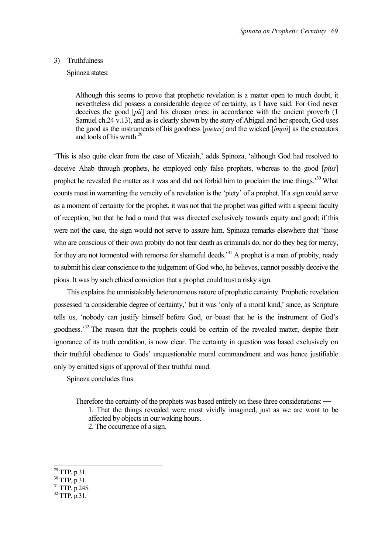## 3) Truthfulness

Spinoza states:

Although this seems to prove that prophetic revelation is a matter open to much doubt, it nevertheless did possess a considerable degree of certainty, as I have said. For God never deceives the good [*pii*] and his chosen ones: in accordance with the ancient proverb (1 Samuel ch.24 v.13), and as is clearly shown by the story of Abigail and her speech, God uses the good as the instruments of his goodness [*pietas*] and the wicked [*impii*] as the executors and tools of his wrath  $^{29}$ 

'This is also quite clear from the case of Micaiah,' adds Spinoza, 'although God had resolved to deceive Ahab through prophets, he employed only false prophets, whereas to the good [*pius*] prophet he revealed the matter as it was and did not forbid him to proclaim the true things.<sup>30</sup> What counts most in warranting the veracity of a revelation is the 'piety' of a prophet. If a sign could serve as a moment of certainty for the prophet, it was not that the prophet was gifted with a special faculty of reception, but that he had a mind that was directed exclusively towards equity and good; if this were not the case, the sign would not serve to assure him. Spinoza remarks elsewhere that 'those who are conscious of their own probity do not fear death as criminals do, nor do they beg for mercy, for they are not tormented with remorse for shameful deeds.<sup>31</sup> A prophet is a man of probity, ready to submit his clear conscience to the judgement of God who, he believes, cannot possibly deceive the pious. It was by such ethical conviction that a prophet could trust a risky sign.

This explains the unmistakably heteronomous nature of prophetic certainty. Prophetic revelation possessed 'a considerable degree of certainty,' but it was 'only of a moral kind,' since, as Scripture tells us, 'nobody can justify himself before God, or boast that he is the instrument of God's goodness.<sup>32</sup> The reason that the prophets could be certain of the revealed matter, despite their ignorance of its truth condition, is now clear. The certainty in question was based exclusively on their truthful obedience to Gods' unquestionable moral commandment and was hence justifiable only by emitted signs of approval of their truthful mind.

Spinoza concludes thus:

Therefore the certainty of the prophets was based entirely on these three considerations: —

1. That the things revealed were most vividly imagined, just as we are wont to be affected by objects in our waking hours.

2. The occurrence of a sign.

 $\overline{a}$ 

 $32$  TTP, p.31.

 $^{29}$  TTP, p.31.

<sup>30</sup> TTP, p.31.

<sup>31</sup> TTP, p.245.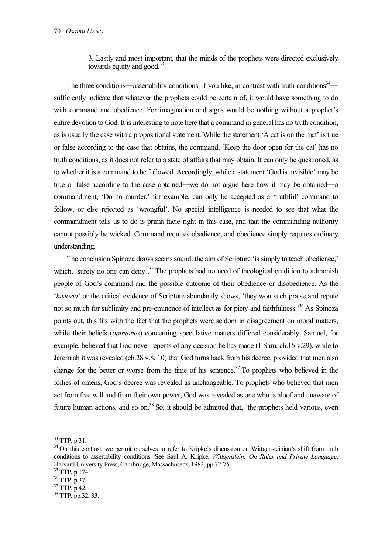3. Lastly and most important, that the minds of the prophets were directed exclusively towards equity and good. $33$ 

The three conditions—assertability conditions, if you like, in contrast with truth conditions $34$  sufficiently indicate that whatever the prophets could be certain of, it would have something to do with command and obedience. For imagination and signs would be nothing without a prophet's entire devotion to God. It is interesting to note here that a command in general has no truth condition, as is usually the case with a propositional statement. While the statement 'A cat is on the mat' is true or false according to the case that obtains, the command, 'Keep the door open for the cat' has no truth conditions, as it does not refer to a state of affairs that may obtain. It can only be questioned, as to whether it is a command to be followed. Accordingly, while a statement 'God is invisible' may be true or false according to the case obtained—we do not argue here how it may be obtained—a commandment, 'Do no murder,' for example, can only be accepted as a 'truthful' command to follow, or else rejected as 'wrongful'. No special intelligence is needed to see that what the commandment tells us to do is prima facie right in this case, and that the commanding authority cannot possibly be wicked. Command requires obedience, and obedience simply requires ordinary understanding.

The conclusion Spinoza draws seems sound: the aim of Scripture 'is simply to teach obedience,' which, 'surely no one can deny'.<sup>35</sup> The prophets had no need of theological erudition to admonish people of God's command and the possible outcome of their obedience or disobedience. As the '*historia*' or the critical evidence of Scripture abundantly shows, 'they won such praise and repute not so much for sublimity and pre-eminence of intellect as for piety and faithfulness.<sup>36</sup> As Spinoza points out, this fits with the fact that the prophets were seldom in disagreement on moral matters, while their beliefs (*opiniones*) concerning speculative matters differed considerably. Samuel, for example, believed that God never repents of any decision he has made (1 Sam. ch.15 v.29), while to Jeremiah it was revealed (ch.28 v.8, 10) that God turns back from his decree, provided that men also change for the better or worse from the time of his sentence.<sup>37</sup> To prophets who believed in the follies of omens, God's decree was revealed as unchangeable. To prophets who believed that men act from free will and from their own power, God was revealed as one who is aloof and unaware of future human actions, and so on.<sup>38</sup> So, it should be admitted that, 'the prophets held various, even

 $33$  TTP, p.31.

<sup>&</sup>lt;sup>34</sup> On this contrast, we permit ourselves to refer to Kripke's discussion on Wittgensteinian's shift from truth conditions to assertability conditions. See Saul A. Kripke, *Wittgenstein: On Rules and Private Language*, Harvard University Press, Cambridge, Massachusetts, 1982, pp.72-75. 35 TTP, p.174.

<sup>36</sup> TTP, p.37.

<sup>37</sup> TTP, p.42.

 $38$  TTP, pp. 32, 33.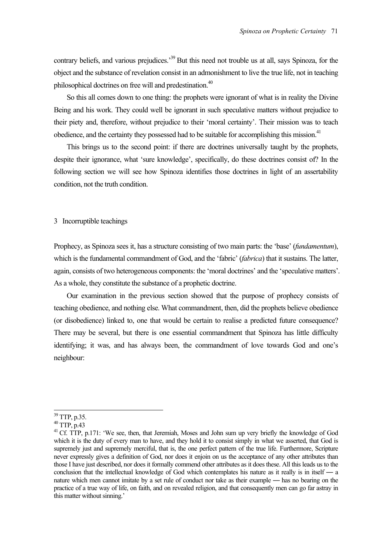contrary beliefs, and various prejudices.<sup>39</sup> But this need not trouble us at all, says Spinoza, for the object and the substance of revelation consist in an admonishment to live the true life, not in teaching philosophical doctrines on free will and predestination.<sup>40</sup>

So this all comes down to one thing: the prophets were ignorant of what is in reality the Divine Being and his work. They could well be ignorant in such speculative matters without prejudice to their piety and, therefore, without prejudice to their 'moral certainty'. Their mission was to teach obedience, and the certainty they possessed had to be suitable for accomplishing this mission.<sup>41</sup>

This brings us to the second point: if there are doctrines universally taught by the prophets, despite their ignorance, what 'sure knowledge', specifically, do these doctrines consist of? In the following section we will see how Spinoza identifies those doctrines in light of an assertability condition, not the truth condition.

## 3 Incorruptible teachings

Prophecy, as Spinoza sees it, has a structure consisting of two main parts: the 'base' (*fundamentum*), which is the fundamental commandment of God, and the 'fabric' (*fabrica*) that it sustains. The latter, again, consists of two heterogeneous components: the 'moral doctrines' and the 'speculative matters'. As a whole, they constitute the substance of a prophetic doctrine.

Our examination in the previous section showed that the purpose of prophecy consists of teaching obedience, and nothing else. What commandment, then, did the prophets believe obedience (or disobedience) linked to, one that would be certain to realise a predicted future consequence? There may be several, but there is one essential commandment that Spinoza has little difficulty identifying; it was, and has always been, the commandment of love towards God and one's neighbour:

 $39$  TTP, p.35.

<sup>40</sup> TTP, p.43

<sup>&</sup>lt;sup>41</sup> Cf. TTP, p.171: 'We see, then, that Jeremiah, Moses and John sum up very briefly the knowledge of God which it is the duty of every man to have, and they hold it to consist simply in what we asserted, that God is supremely just and supremely merciful, that is, the one perfect pattern of the true life. Furthermore, Scripture never expressly gives a definition of God, nor does it enjoin on us the acceptance of any other attributes than those I have just described, nor does it formally commend other attributes as it does these. All this leads us to the conclusion that the intellectual knowledge of God which contemplates his nature as it really is in itself — a nature which men cannot imitate by a set rule of conduct nor take as their example — has no bearing on the practice of a true way of life, on faith, and on revealed religion, and that consequently men can go far astray in this matter without sinning.'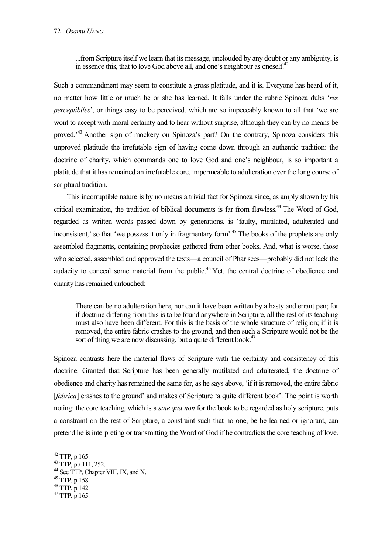...from Scripture itself we learn that its message, unclouded by any doubt or any ambiguity, is in essence this, that to love God above all, and one's neighbour as oneself.<sup>42</sup>

Such a commandment may seem to constitute a gross platitude, and it is. Everyone has heard of it, no matter how little or much he or she has learned. It falls under the rubric Spinoza dubs '*res perceptibiles*', or things easy to be perceived, which are so impeccably known to all that 'we are wont to accept with moral certainty and to hear without surprise, although they can by no means be proved.'43 Another sign of mockery on Spinoza's part? On the contrary, Spinoza considers this unproved platitude the irrefutable sign of having come down through an authentic tradition: the doctrine of charity, which commands one to love God and one's neighbour, is so important a platitude that it has remained an irrefutable core, impermeable to adulteration over the long course of scriptural tradition.

This incorruptible nature is by no means a trivial fact for Spinoza since, as amply shown by his critical examination, the tradition of biblical documents is far from flawless.<sup>44</sup> The Word of God. regarded as written words passed down by generations, is 'faulty, mutilated, adulterated and inconsistent,' so that 'we possess it only in fragmentary form'.45 The books of the prophets are only assembled fragments, containing prophecies gathered from other books. And, what is worse, those who selected, assembled and approved the texts—a council of Pharisees—probably did not lack the audacity to conceal some material from the public.<sup>46</sup> Yet, the central doctrine of obedience and charity has remained untouched:

There can be no adulteration here, nor can it have been written by a hasty and errant pen; for if doctrine differing from this is to be found anywhere in Scripture, all the rest of its teaching must also have been different. For this is the basis of the whole structure of religion; if it is removed, the entire fabric crashes to the ground, and then such a Scripture would not be the sort of thing we are now discussing, but a quite different book.<sup>47</sup>

Spinoza contrasts here the material flaws of Scripture with the certainty and consistency of this doctrine. Granted that Scripture has been generally mutilated and adulterated, the doctrine of obedience and charity has remained the same for, as he says above, 'if it is removed, the entire fabric [*fabrica*] crashes to the ground' and makes of Scripture 'a quite different book'. The point is worth noting: the core teaching, which is a *sine qua non* for the book to be regarded as holy scripture, puts a constraint on the rest of Scripture, a constraint such that no one, be he learned or ignorant, can pretend he is interpreting or transmitting the Word of God if he contradicts the core teaching of love.

 $42$  TTP, p.165.

<sup>43</sup> TTP, pp.111, 252.

<sup>&</sup>lt;sup>44</sup> See TTP, Chapter VIII, IX, and X.

<sup>45</sup> TTP, p.158.

<sup>46</sup> TTP, p.142.

 $47$  TTP, p.165.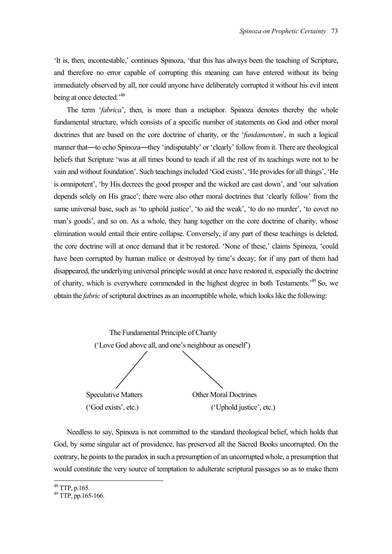'It is, then, incontestable,' continues Spinoza, 'that this has always been the teaching of Scripture, and therefore no error capable of corrupting this meaning can have entered without its being immediately observed by all, nor could anyone have deliberately corrupted it without his evil intent being at once detected.'48

The term '*fabrica*', then, is more than a metaphor. Spinoza denotes thereby the whole fundamental structure, which consists of a specific number of statements on God and other moral doctrines that are based on the core doctrine of charity, or the '*fundamentum*', in such a logical manner that—to echo Spinoza—they 'indisputably' or 'clearly' follow from it. There are theological beliefs that Scripture 'was at all times bound to teach if all the rest of its teachings were not to be vain and without foundation'. Such teachings included 'God exists', 'He provides for all things', 'He is omnipotent', 'by His decrees the good prosper and the wicked are cast down', and 'our salvation depends solely on His grace'; there were also other moral doctrines that 'clearly follow' from the same universal base, such as 'to uphold justice', 'to aid the weak', 'to do no murder', 'to covet no man's goods', and so on. As a whole, they hang together on the core doctrine of charity, whose elimination would entail their entire collapse. Conversely, if any part of these teachings is deleted, the core doctrine will at once demand that it be restored. 'None of these,' claims Spinoza, 'could have been corrupted by human malice or destroyed by time's decay; for if any part of them had disappeared, the underlying universal principle would at once have restored it, especially the doctrine of charity, which is everywhere commended in the highest degree in both Testaments.'49 So, we obtain the *fabric* of scriptural doctrines as an incorruptible whole, which looks like the following:



Needless to say, Spinoza is not committed to the standard theological belief, which holds that God, by some singular act of providence, has preserved all the Sacred Books uncorrupted. On the contrary, he points to the paradox in such a presumption of an uncorrupted whole, a presumption that would constitute the very source of temptation to adulterate scriptural passages so as to make them

 $48$  TTP, p.165.

<sup>49</sup> TTP, pp.165-166.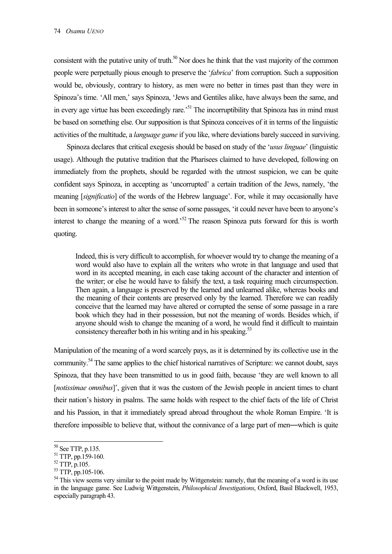consistent with the putative unity of truth.<sup>50</sup> Nor does he think that the vast majority of the common people were perpetually pious enough to preserve the '*fabrica*' from corruption. Such a supposition would be, obviously, contrary to history, as men were no better in times past than they were in Spinoza's time. 'All men,' says Spinoza, 'Jews and Gentiles alike, have always been the same, and in every age virtue has been exceedingly rare.<sup>51</sup> The incorruptibility that Spinoza has in mind must be based on something else. Our supposition is that Spinoza conceives of it in terms of the linguistic activities of the multitude, a *language game* if you like, where deviations barely succeed in surviving.

Spinoza declares that critical exegesis should be based on study of the '*usus linguae*' (linguistic usage). Although the putative tradition that the Pharisees claimed to have developed, following on immediately from the prophets, should be regarded with the utmost suspicion, we can be quite confident says Spinoza, in accepting as 'uncorrupted' a certain tradition of the Jews, namely, 'the meaning [*significatio*] of the words of the Hebrew language'. For, while it may occasionally have been in someone's interest to alter the sense of some passages, 'it could never have been to anyone's interest to change the meaning of a word.<sup>52</sup> The reason Spinoza puts forward for this is worth quoting.

Indeed, this is very difficult to accomplish, for whoever would try to change the meaning of a word would also have to explain all the writers who wrote in that language and used that word in its accepted meaning, in each case taking account of the character and intention of the writer; or else he would have to falsify the text, a task requiring much circumspection. Then again, a language is preserved by the learned and unlearned alike, whereas books and the meaning of their contents are preserved only by the learned. Therefore we can readily conceive that the learned may have altered or corrupted the sense of some passage in a rare book which they had in their possession, but not the meaning of words. Besides which, if anyone should wish to change the meaning of a word, he would find it difficult to maintain consistency thereafter both in his writing and in his speaking.<sup>53</sup>

Manipulation of the meaning of a word scarcely pays, as it is determined by its collective use in the community.<sup>54</sup> The same applies to the chief historical narratives of Scripture: we cannot doubt, says Spinoza, that they have been transmitted to us in good faith, because 'they are well known to all [*notissimae omnibus*]', given that it was the custom of the Jewish people in ancient times to chant their nation's history in psalms. The same holds with respect to the chief facts of the life of Christ and his Passion, in that it immediately spread abroad throughout the whole Roman Empire. 'It is therefore impossible to believe that, without the connivance of a large part of men—which is quite

<sup>50</sup> See TTP, p.135.

<sup>51</sup> TTP, pp.159-160.

<sup>52</sup> TTP, p.105.

<sup>53</sup> TTP, pp.105-106.

<sup>&</sup>lt;sup>54</sup> This view seems very similar to the point made by Wittgenstein: namely, that the meaning of a word is its use in the language game. See Ludwig Wittgenstein, *Philosophical Investigations*, Oxford, Basil Blackwell, 1953, especially paragraph 43.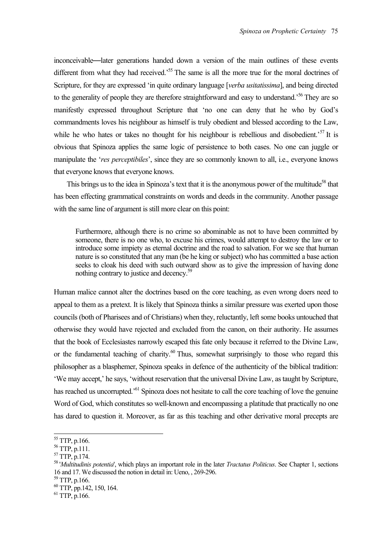inconceivable—later generations handed down a version of the main outlines of these events different from what they had received.<sup>55</sup> The same is all the more true for the moral doctrines of Scripture, for they are expressed 'in quite ordinary language [*verba usitatissima*], and being directed to the generality of people they are therefore straightforward and easy to understand.<sup>56</sup> They are so manifestly expressed throughout Scripture that 'no one can deny that he who by God's commandments loves his neighbour as himself is truly obedient and blessed according to the Law, while he who hates or takes no thought for his neighbour is rebellious and disobedient.<sup>57</sup> It is obvious that Spinoza applies the same logic of persistence to both cases. No one can juggle or manipulate the '*res perceptibiles*', since they are so commonly known to all, i.e., everyone knows that everyone knows that everyone knows.

This brings us to the idea in Spinoza's text that it is the anonymous power of the multitude<sup>58</sup> that has been effecting grammatical constraints on words and deeds in the community. Another passage with the same line of argument is still more clear on this point:

Furthermore, although there is no crime so abominable as not to have been committed by someone, there is no one who, to excuse his crimes, would attempt to destroy the law or to introduce some impiety as eternal doctrine and the road to salvation. For we see that human nature is so constituted that any man (be he king or subject) who has committed a base action seeks to cloak his deed with such outward show as to give the impression of having done nothing contrary to justice and decency.59

Human malice cannot alter the doctrines based on the core teaching, as even wrong doers need to appeal to them as a pretext. It is likely that Spinoza thinks a similar pressure was exerted upon those councils (both of Pharisees and of Christians) when they, reluctantly, left some books untouched that otherwise they would have rejected and excluded from the canon, on their authority. He assumes that the book of Ecclesiastes narrowly escaped this fate only because it referred to the Divine Law, or the fundamental teaching of charity. $60$  Thus, somewhat surprisingly to those who regard this philosopher as a blasphemer, Spinoza speaks in defence of the authenticity of the biblical tradition: 'We may accept,' he says, 'without reservation that the universal Divine Law, as taught by Scripture, has reached us uncorrupted.<sup>561</sup> Spinoza does not hesitate to call the core teaching of love the genuine Word of God, which constitutes so well-known and encompassing a platitude that practically no one has dared to question it. Moreover, as far as this teaching and other derivative moral precepts are

 $\overline{a}$ 

59 TTP, p.166.

 $55$  TTP, p.166.

<sup>56</sup> TTP, p.111.

<sup>57</sup> TTP, p.174.

<sup>58 &#</sup>x27;*Multitudinis potentia*', which plays an important role in the later *Tractatus Politicus*. See Chapter 1, sections 16 and 17. We discussed the notion in detail in: Ueno, , 269-296.

<sup>60</sup> TTP, pp.142, 150, 164.

 $^{61}$  TTP, p.166.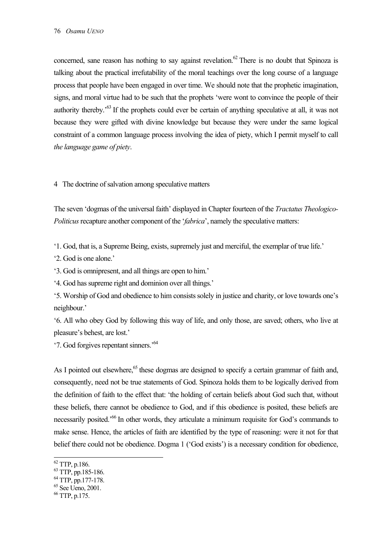concerned, sane reason has nothing to say against revelation.<sup>62</sup> There is no doubt that Spinoza is talking about the practical irrefutability of the moral teachings over the long course of a language process that people have been engaged in over time. We should note that the prophetic imagination, signs, and moral virtue had to be such that the prophets 'were wont to convince the people of their authority thereby.'63 If the prophets could ever be certain of anything speculative at all, it was not because they were gifted with divine knowledge but because they were under the same logical constraint of a common language process involving the idea of piety, which I permit myself to call *the language game of piety*.

# 4 The doctrine of salvation among speculative matters

The seven 'dogmas of the universal faith' displayed in Chapter fourteen of the *Tractatus Theologico-Politicus* recapture another component of the '*fabrica*', namely the speculative matters:

'1. God, that is, a Supreme Being, exists, supremely just and merciful, the exemplar of true life.'

'2. God is one alone.'

'3. God is omnipresent, and all things are open to him.'

'4. God has supreme right and dominion over all things.'

'5. Worship of God and obedience to him consists solely in justice and charity, or love towards one's neighbour.'

'6. All who obey God by following this way of life, and only those, are saved; others, who live at pleasure's behest, are lost.'

'7. God forgives repentant sinners.'64

As I pointed out elsewhere,<sup>65</sup> these dogmas are designed to specify a certain grammar of faith and, consequently, need not be true statements of God. Spinoza holds them to be logically derived from the definition of faith to the effect that: 'the holding of certain beliefs about God such that, without these beliefs, there cannot be obedience to God, and if this obedience is posited, these beliefs are necessarily posited.'66 In other words, they articulate a minimum requisite for God's commands to make sense. Hence, the articles of faith are identified by the type of reasoning: were it not for that belief there could not be obedience. Dogma 1 ('God exists') is a necessary condition for obedience,

l

 $^{62}$  TTP, p.186.

 $^{63}$  TTP, pp.185-186.

 $^{64}$  TTP, pp.177-178.

 $65$  See Ueno, 2001.

<sup>66</sup> TTP, p.175.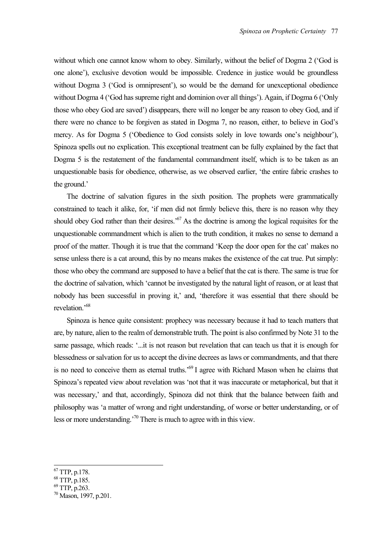without which one cannot know whom to obey. Similarly, without the belief of Dogma 2 ('God is one alone'), exclusive devotion would be impossible. Credence in justice would be groundless without Dogma 3 ('God is omnipresent'), so would be the demand for unexceptional obedience without Dogma 4 ('God has supreme right and dominion over all things'). Again, if Dogma 6 ('Only those who obey God are saved') disappears, there will no longer be any reason to obey God, and if there were no chance to be forgiven as stated in Dogma 7, no reason, either, to believe in God's mercy. As for Dogma 5 ('Obedience to God consists solely in love towards one's neighbour'), Spinoza spells out no explication. This exceptional treatment can be fully explained by the fact that Dogma 5 is the restatement of the fundamental commandment itself, which is to be taken as an unquestionable basis for obedience, otherwise, as we observed earlier, 'the entire fabric crashes to the ground.'

The doctrine of salvation figures in the sixth position. The prophets were grammatically constrained to teach it alike, for, 'if men did not firmly believe this, there is no reason why they should obey God rather than their desires.<sup>57</sup> As the doctrine is among the logical requisites for the unquestionable commandment which is alien to the truth condition, it makes no sense to demand a proof of the matter. Though it is true that the command 'Keep the door open for the cat' makes no sense unless there is a cat around, this by no means makes the existence of the cat true. Put simply: those who obey the command are supposed to have a belief that the cat is there. The same is true for the doctrine of salvation, which 'cannot be investigated by the natural light of reason, or at least that nobody has been successful in proving it,' and, 'therefore it was essential that there should be revelation.'68

Spinoza is hence quite consistent: prophecy was necessary because it had to teach matters that are, by nature, alien to the realm of demonstrable truth. The point is also confirmed by Note 31 to the same passage, which reads: '...it is not reason but revelation that can teach us that it is enough for blessedness or salvation for us to accept the divine decrees as laws or commandments, and that there is no need to conceive them as eternal truths.'69 I agree with Richard Mason when he claims that Spinoza's repeated view about revelation was 'not that it was inaccurate or metaphorical, but that it was necessary,' and that, accordingly, Spinoza did not think that the balance between faith and philosophy was 'a matter of wrong and right understanding, of worse or better understanding, or of less or more understanding.'70 There is much to agree with in this view.

- $^{68}$  TTP, p.185.
- 69 TTP, p.263.

 $67$  TTP, p.178.

<sup>70</sup> Mason, 1997, p.201.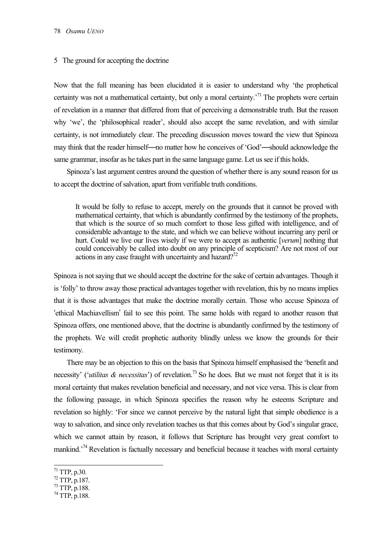#### 5 The ground for accepting the doctrine

Now that the full meaning has been elucidated it is easier to understand why 'the prophetical certainty was not a mathematical certainty, but only a moral certainty.<sup>71</sup> The prophets were certain of revelation in a manner that differed from that of perceiving a demonstrable truth. But the reason why 'we', the 'philosophical reader', should also accept the same revelation, and with similar certainty, is not immediately clear. The preceding discussion moves toward the view that Spinoza may think that the reader himself—no matter how he conceives of 'God'—should acknowledge the same grammar, insofar as he takes part in the same language game. Let us see if this holds.

Spinoza's last argument centres around the question of whether there is any sound reason for us to accept the doctrine of salvation, apart from verifiable truth conditions.

It would be folly to refuse to accept, merely on the grounds that it cannot be proved with mathematical certainty, that which is abundantly confirmed by the testimony of the prophets, that which is the source of so much comfort to those less gifted with intelligence, and of considerable advantage to the state, and which we can believe without incurring any peril or hurt. Could we live our lives wisely if we were to accept as authentic [*verum*] nothing that could conceivably be called into doubt on any principle of scepticism? Are not most of our actions in any case fraught with uncertainty and hazard?<sup>72</sup>

Spinoza is not saying that we should accept the doctrine for the sake of certain advantages. Though it is 'folly' to throw away those practical advantages together with revelation, this by no means implies that it is those advantages that make the doctrine morally certain. Those who accuse Spinoza of 'ethical Machiavellism' fail to see this point. The same holds with regard to another reason that Spinoza offers, one mentioned above, that the doctrine is abundantly confirmed by the testimony of the prophets. We will credit prophetic authority blindly unless we know the grounds for their testimony.

There may be an objection to this on the basis that Spinoza himself emphasised the 'benefit and necessity' ('*utilitas & necessitas*') of revelation.73 So he does. But we must not forget that it is its moral certainty that makes revelation beneficial and necessary, and not vice versa. This is clear from the following passage, in which Spinoza specifies the reason why he esteems Scripture and revelation so highly: 'For since we cannot perceive by the natural light that simple obedience is a way to salvation, and since only revelation teaches us that this comes about by God's singular grace, which we cannot attain by reason, it follows that Scripture has brought very great comfort to mankind.<sup> $74$ </sup> Revelation is factually necessary and beneficial because it teaches with moral certainty

- 73 TTP, p.188.
- $^{74}$  TTP, p.188.

 $71$  TTP, p.30.

<sup>72</sup> TTP, p.187.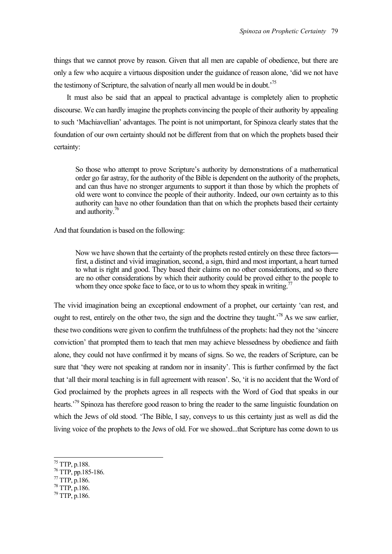things that we cannot prove by reason. Given that all men are capable of obedience, but there are only a few who acquire a virtuous disposition under the guidance of reason alone, 'did we not have the testimony of Scripture, the salvation of nearly all men would be in doubt.<sup>75</sup>

It must also be said that an appeal to practical advantage is completely alien to prophetic discourse. We can hardly imagine the prophets convincing the people of their authority by appealing to such 'Machiavellian' advantages. The point is not unimportant, for Spinoza clearly states that the foundation of our own certainty should not be different from that on which the prophets based their certainty:

So those who attempt to prove Scripture's authority by demonstrations of a mathematical order go far astray, for the authority of the Bible is dependent on the authority of the prophets, and can thus have no stronger arguments to support it than those by which the prophets of old were wont to convince the people of their authority. Indeed, our own certainty as to this authority can have no other foundation than that on which the prophets based their certainty and authority.<sup>76</sup>

And that foundation is based on the following:

Now we have shown that the certainty of the prophets rested entirely on these three factors first, a distinct and vivid imagination, second, a sign, third and most important, a heart turned to what is right and good. They based their claims on no other considerations, and so there are no other considerations by which their authority could be proved either to the people to whom they once spoke face to face, or to us to whom they speak in writing.<sup>77</sup>

The vivid imagination being an exceptional endowment of a prophet, our certainty 'can rest, and ought to rest, entirely on the other two, the sign and the doctrine they taught.<sup>78</sup> As we saw earlier, these two conditions were given to confirm the truthfulness of the prophets: had they not the 'sincere conviction' that prompted them to teach that men may achieve blessedness by obedience and faith alone, they could not have confirmed it by means of signs. So we, the readers of Scripture, can be sure that 'they were not speaking at random nor in insanity'. This is further confirmed by the fact that 'all their moral teaching is in full agreement with reason'. So, 'it is no accident that the Word of God proclaimed by the prophets agrees in all respects with the Word of God that speaks in our hearts.<sup>79</sup> Spinoza has therefore good reason to bring the reader to the same linguistic foundation on which the Jews of old stood. 'The Bible, I say, conveys to us this certainty just as well as did the living voice of the prophets to the Jews of old. For we showed...that Scripture has come down to us

l

78 TTP, p.186.

 $^{75}$  TTP, p.188.

<sup>76</sup> TTP, pp.185-186.

 $77$  TTP, p.186.

 $^{79}$  TTP, p.186.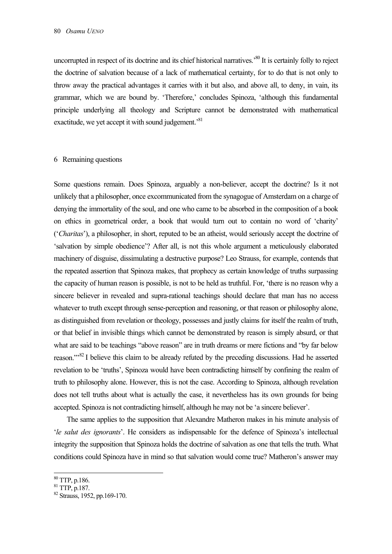uncorrupted in respect of its doctrine and its chief historical narratives.'80 It is certainly folly to reject the doctrine of salvation because of a lack of mathematical certainty, for to do that is not only to throw away the practical advantages it carries with it but also, and above all, to deny, in vain, its grammar, which we are bound by. 'Therefore,' concludes Spinoza, 'although this fundamental principle underlying all theology and Scripture cannot be demonstrated with mathematical exactitude, we yet accept it with sound judgement.<sup>81</sup>

## 6 Remaining questions

Some questions remain. Does Spinoza, arguably a non-believer, accept the doctrine? Is it not unlikely that a philosopher, once excommunicated from the synagogue of Amsterdam on a charge of denying the immortality of the soul, and one who came to be absorbed in the composition of a book on ethics in geometrical order, a book that would turn out to contain no word of 'charity' ('*Charitas*'), a philosopher, in short, reputed to be an atheist, would seriously accept the doctrine of 'salvation by simple obedience'? After all, is not this whole argument a meticulously elaborated machinery of disguise, dissimulating a destructive purpose? Leo Strauss, for example, contends that the repeated assertion that Spinoza makes, that prophecy as certain knowledge of truths surpassing the capacity of human reason is possible, is not to be held as truthful. For, 'there is no reason why a sincere believer in revealed and supra-rational teachings should declare that man has no access whatever to truth except through sense-perception and reasoning, or that reason or philosophy alone, as distinguished from revelation or theology, possesses and justly claims for itself the realm of truth, or that belief in invisible things which cannot be demonstrated by reason is simply absurd, or that what are said to be teachings "above reason" are in truth dreams or mere fictions and "by far below reason."'82 I believe this claim to be already refuted by the preceding discussions. Had he asserted revelation to be 'truths', Spinoza would have been contradicting himself by confining the realm of truth to philosophy alone. However, this is not the case. According to Spinoza, although revelation does not tell truths about what is actually the case, it nevertheless has its own grounds for being accepted. Spinoza is not contradicting himself, although he may not be 'a sincere believer'.

The same applies to the supposition that Alexandre Matheron makes in his minute analysis of '*le salut des ignorants*'. He considers as indispensable for the defence of Spinoza's intellectual integrity the supposition that Spinoza holds the doctrine of salvation as one that tells the truth. What conditions could Spinoza have in mind so that salvation would come true? Matheron's answer may

l

 $80$  TTP, p.186.

<sup>81</sup> TTP, p.187.

<sup>82</sup> Strauss, 1952, pp.169-170.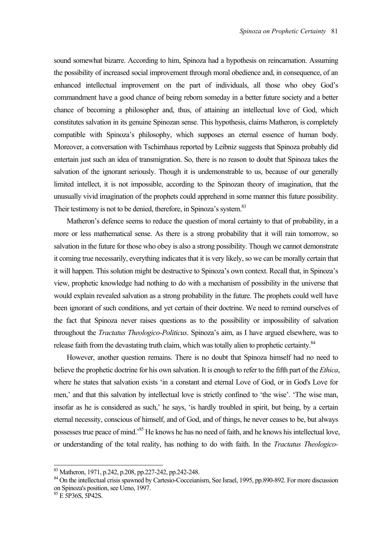sound somewhat bizarre. According to him, Spinoza had a hypothesis on reincarnation. Assuming the possibility of increased social improvement through moral obedience and, in consequence, of an enhanced intellectual improvement on the part of individuals, all those who obey God's commandment have a good chance of being reborn someday in a better future society and a better chance of becoming a philosopher and, thus, of attaining an intellectual love of God, which constitutes salvation in its genuine Spinozan sense. This hypothesis, claims Matheron, is completely compatible with Spinoza's philosophy, which supposes an eternal essence of human body. Moreover, a conversation with Tschirnhaus reported by Leibniz suggests that Spinoza probably did entertain just such an idea of transmigration. So, there is no reason to doubt that Spinoza takes the salvation of the ignorant seriously. Though it is undemonstrable to us, because of our generally limited intellect, it is not impossible, according to the Spinozan theory of imagination, that the unusually vivid imagination of the prophets could apprehend in some manner this future possibility. Their testimony is not to be denied, therefore, in Spinoza's system.<sup>83</sup>

Matheron's defence seems to reduce the question of moral certainty to that of probability, in a more or less mathematical sense. As there is a strong probability that it will rain tomorrow, so salvation in the future for those who obey is also a strong possibility. Though we cannot demonstrate it coming true necessarily, everything indicates that it is very likely, so we can be morally certain that it will happen. This solution might be destructive to Spinoza's own context. Recall that, in Spinoza's view, prophetic knowledge had nothing to do with a mechanism of possibility in the universe that would explain revealed salvation as a strong probability in the future. The prophets could well have been ignorant of such conditions, and yet certain of their doctrine. We need to remind ourselves of the fact that Spinoza never raises questions as to the possibility or impossibility of salvation throughout the *Tractatus Theologico-Politicus*. Spinoza's aim, as I have argued elsewhere, was to release faith from the devastating truth claim, which was totally alien to prophetic certainty.<sup>84</sup>

However, another question remains. There is no doubt that Spinoza himself had no need to believe the prophetic doctrine for his own salvation. It is enough to refer to the fifth part of the *Ethica*, where he states that salvation exists 'in a constant and eternal Love of God, or in God's Love for men,' and that this salvation by intellectual love is strictly confined to 'the wise'. 'The wise man, insofar as he is considered as such,' he says, 'is hardly troubled in spirit, but being, by a certain eternal necessity, conscious of himself, and of God, and of things, he never ceases to be, but always possesses true peace of mind.'85 He knows he has no need of faith, and he knows his intellectual love, or understanding of the total reality, has nothing to do with faith. In the *Tractatus Theologico-*

<sup>83</sup> Matheron, 1971, p.242, p.208, pp.227-242, pp.242-248.

<sup>&</sup>lt;sup>84</sup> On the intellectual crisis spawned by Cartesio-Cocceianism, See Israel, 1995, pp.890-892. For more discussion on Spinoza's position, see Ueno, 1997.

<sup>&</sup>lt;sup>85</sup> E 5P36S, 5P42S.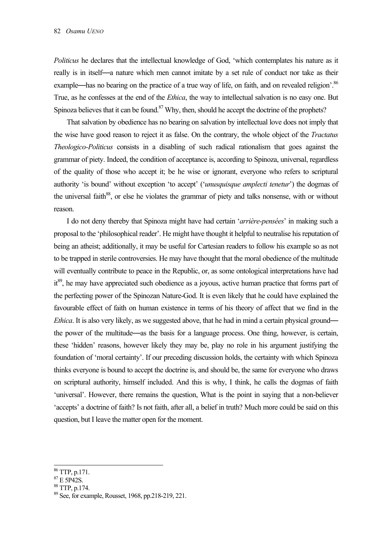*Politicus* he declares that the intellectual knowledge of God, 'which contemplates his nature as it really is in itself—a nature which men cannot imitate by a set rule of conduct nor take as their example—has no bearing on the practice of a true way of life, on faith, and on revealed religion'.<sup>86</sup> True, as he confesses at the end of the *Ethica*, the way to intellectual salvation is no easy one. But Spinoza believes that it can be found.<sup>87</sup> Why, then, should he accept the doctrine of the prophets?

That salvation by obedience has no bearing on salvation by intellectual love does not imply that the wise have good reason to reject it as false. On the contrary, the whole object of the *Tractatus Theologico-Politicus* consists in a disabling of such radical rationalism that goes against the grammar of piety. Indeed, the condition of acceptance is, according to Spinoza, universal, regardless of the quality of those who accept it; be he wise or ignorant, everyone who refers to scriptural authority 'is bound' without exception 'to accept' ('*unusquisque amplecti tenetur*') the dogmas of the universal faith<sup>88</sup>, or else he violates the grammar of piety and talks nonsense, with or without reason.

I do not deny thereby that Spinoza might have had certain '*arrière-pensées*' in making such a proposal to the 'philosophical reader'. He might have thought it helpful to neutralise his reputation of being an atheist; additionally, it may be useful for Cartesian readers to follow his example so as not to be trapped in sterile controversies. He may have thought that the moral obedience of the multitude will eventually contribute to peace in the Republic, or, as some ontological interpretations have had it<sup>89</sup>, he may have appreciated such obedience as a joyous, active human practice that forms part of the perfecting power of the Spinozan Nature-God. It is even likely that he could have explained the favourable effect of faith on human existence in terms of his theory of affect that we find in the *Ethica*. It is also very likely, as we suggested above, that he had in mind a certain physical ground the power of the multitude—as the basis for a language process. One thing, however, is certain, these 'hidden' reasons, however likely they may be, play no role in his argument justifying the foundation of 'moral certainty'. If our preceding discussion holds, the certainty with which Spinoza thinks everyone is bound to accept the doctrine is, and should be, the same for everyone who draws on scriptural authority, himself included. And this is why, I think, he calls the dogmas of faith 'universal'. However, there remains the question, What is the point in saying that a non-believer 'accepts' a doctrine of faith? Is not faith, after all, a belief in truth? Much more could be said on this question, but I leave the matter open for the moment.

 $\overline{a}$ 

88 TTP, p.174.

<sup>86</sup> TTP, p.171.

 $87$  E 5P42S.

<sup>89</sup> See, for example, Rousset, 1968, pp.218-219, 221.